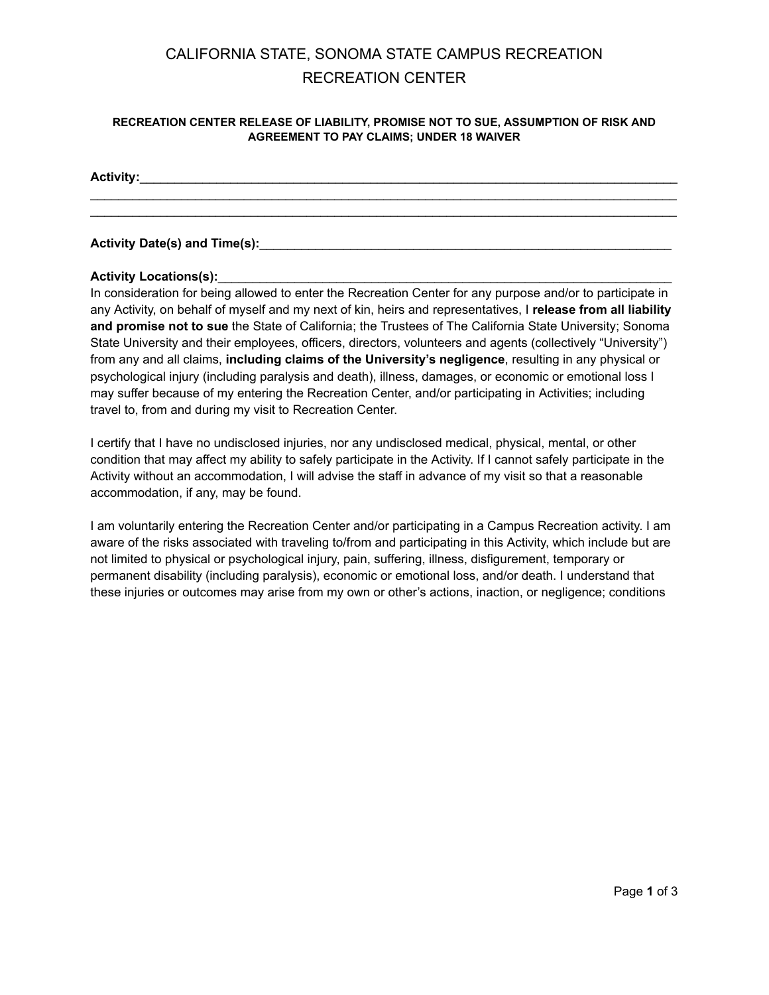# CALIFORNIA STATE, SONOMA STATE CAMPUS RECREATION RECREATION CENTER

#### **RECREATION CENTER RELEASE OF LIABILITY, PROMISE NOT TO SUE, ASSUMPTION OF RISK AND AGREEMENT TO PAY CLAIMS; UNDER 18 WAIVER**

\_\_\_\_\_\_\_\_\_\_\_\_\_\_\_\_\_\_\_\_\_\_\_\_\_\_\_\_\_\_\_\_\_\_\_\_\_\_\_\_\_\_\_\_\_\_\_\_\_\_\_\_\_\_\_\_\_\_\_\_\_\_\_\_\_\_\_\_\_\_\_\_\_\_\_\_\_\_\_\_\_\_\_\_

#### **Activity:**\_\_\_\_\_\_\_\_\_\_\_\_\_\_\_\_\_\_\_\_\_\_\_\_\_\_\_\_\_\_\_\_\_\_\_\_\_\_\_\_\_\_\_\_\_\_\_\_\_\_\_\_\_\_\_\_\_\_\_\_\_\_\_\_\_\_\_\_\_\_\_\_\_\_\_\_\_

### **Activity Date(s) and Time(s):**\_\_\_\_\_\_\_\_\_\_\_\_\_\_\_\_\_\_\_\_\_\_\_\_\_\_\_\_\_\_\_\_\_\_\_\_\_\_\_\_\_\_\_\_\_\_\_\_\_\_\_\_\_\_\_\_\_\_\_

#### Activity Locations(s):

In consideration for being allowed to enter the Recreation Center for any purpose and/or to participate in any Activity, on behalf of myself and my next of kin, heirs and representatives, I **release from all liability and promise not to sue** the State of California; the Trustees of The California State University; Sonoma State University and their employees, officers, directors, volunteers and agents (collectively "University") from any and all claims, **including claims of the University's negligence**, resulting in any physical or psychological injury (including paralysis and death), illness, damages, or economic or emotional loss I may suffer because of my entering the Recreation Center, and/or participating in Activities; including travel to, from and during my visit to Recreation Center.

I certify that I have no undisclosed injuries, nor any undisclosed medical, physical, mental, or other condition that may affect my ability to safely participate in the Activity. If I cannot safely participate in the Activity without an accommodation, I will advise the staff in advance of my visit so that a reasonable accommodation, if any, may be found.

I am voluntarily entering the Recreation Center and/or participating in a Campus Recreation activity. I am aware of the risks associated with traveling to/from and participating in this Activity, which include but are not limited to physical or psychological injury, pain, suffering, illness, disfigurement, temporary or permanent disability (including paralysis), economic or emotional loss, and/or death. I understand that these injuries or outcomes may arise from my own or other's actions, inaction, or negligence; conditions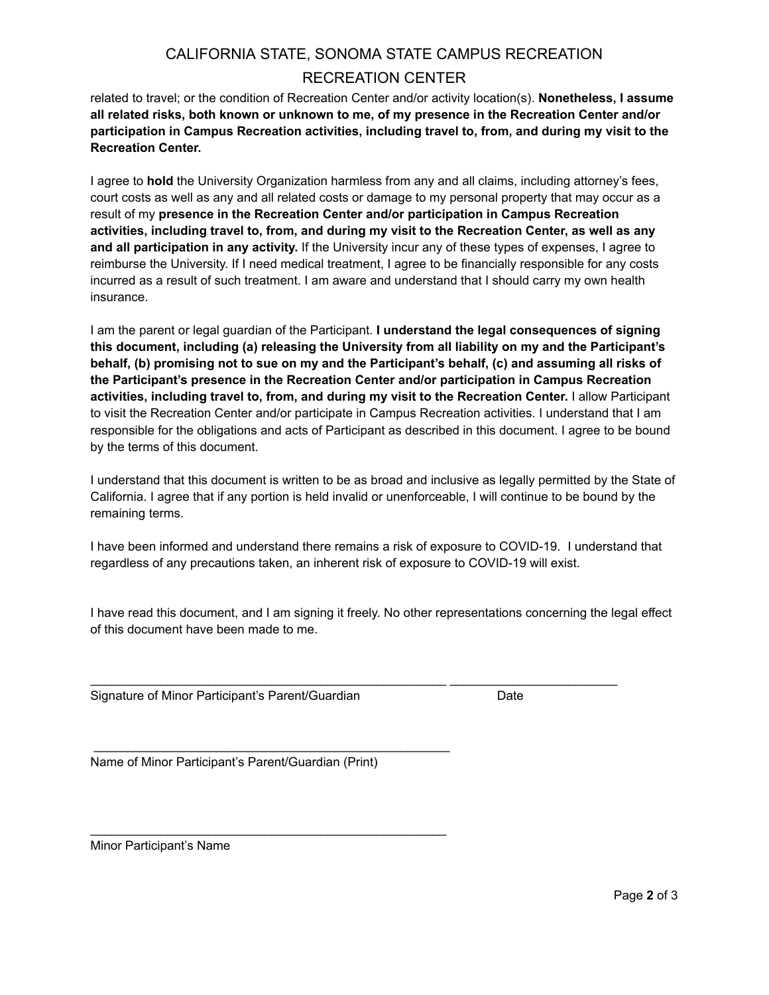## CALIFORNIA STATE, SONOMA STATE CAMPUS RECREATION RECREATION CENTER

related to travel; or the condition of Recreation Center and/or activity location(s). **Nonetheless, I assume all related risks, both known or unknown to me, of my presence in the Recreation Center and/or participation in Campus Recreation activities, including travel to, from, and during my visit to the Recreation Center.**

I agree to **hold** the University Organization harmless from any and all claims, including attorney's fees, court costs as well as any and all related costs or damage to my personal property that may occur as a result of my **presence in the Recreation Center and/or participation in Campus Recreation activities, including travel to, from, and during my visit to the Recreation Center, as well as any and all participation in any activity.** If the University incur any of these types of expenses, I agree to reimburse the University. If I need medical treatment, I agree to be financially responsible for any costs incurred as a result of such treatment. I am aware and understand that I should carry my own health insurance.

I am the parent or legal guardian of the Participant. **I understand the legal consequences of signing this document, including (a) releasing the University from all liability on my and the Participant's behalf, (b) promising not to sue on my and the Participant's behalf, (c) and assuming all risks of the Participant's presence in the Recreation Center and/or participation in Campus Recreation activities, including travel to, from, and during my visit to the Recreation Center.** I allow Participant to visit the Recreation Center and/or participate in Campus Recreation activities. I understand that I am responsible for the obligations and acts of Participant as described in this document. I agree to be bound by the terms of this document.

I understand that this document is written to be as broad and inclusive as legally permitted by the State of California. I agree that if any portion is held invalid or unenforceable, I will continue to be bound by the remaining terms.

I have been informed and understand there remains a risk of exposure to COVID-19. I understand that regardless of any precautions taken, an inherent risk of exposure to COVID-19 will exist.

I have read this document, and I am signing it freely. No other representations concerning the legal effect of this document have been made to me.

Signature of Minor Participant's Parent/Guardian Date

Name of Minor Participant's Parent/Guardian (Print)

\_\_\_\_\_\_\_\_\_\_\_\_\_\_\_\_\_\_\_\_\_\_\_\_\_\_\_\_\_\_\_\_\_\_\_\_\_\_\_\_\_\_\_\_\_\_\_\_\_\_\_

 $\mathcal{L}_\text{max} = \mathcal{L}_\text{max} = \mathcal{L}_\text{max} = \mathcal{L}_\text{max} = \mathcal{L}_\text{max} = \mathcal{L}_\text{max} = \mathcal{L}_\text{max}$ 

Minor Participant's Name